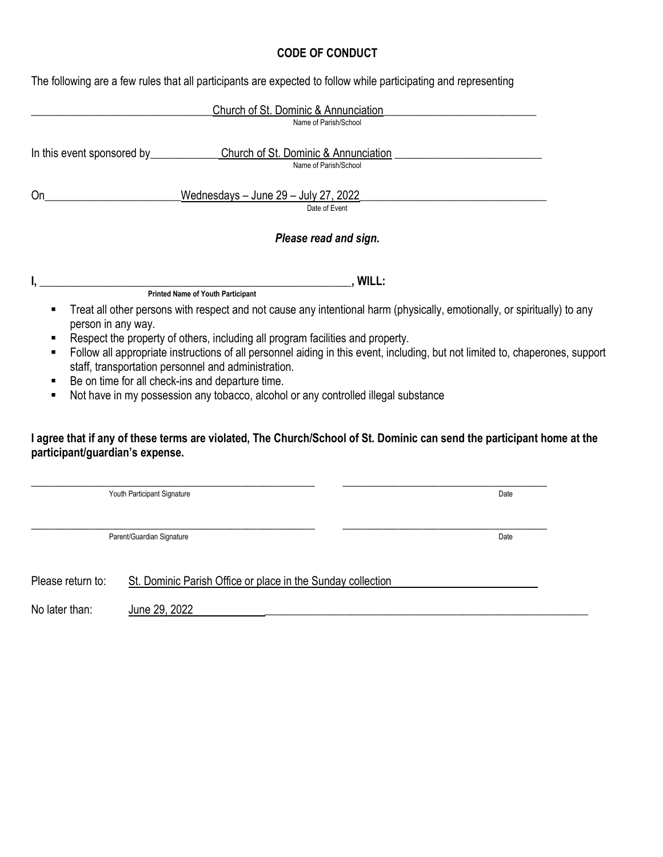## CODE OF CONDUCT

The following are a few rules that all participants are expected to follow while participating and representing

|    | Church of St. Dominic & Annunciation                                                                                                                                                 |  |
|----|--------------------------------------------------------------------------------------------------------------------------------------------------------------------------------------|--|
|    | Name of Parish/School                                                                                                                                                                |  |
|    | In this event sponsored by_________________Church of St. Dominic & Annunciation                                                                                                      |  |
|    | Name of Parish/School                                                                                                                                                                |  |
| 0n | Wednesdays - June 29 - July 27, 2022                                                                                                                                                 |  |
|    | Date of Event                                                                                                                                                                        |  |
|    | Please read and sign.                                                                                                                                                                |  |
|    | , WILL:<br><b>Printed Name of Youth Participant</b>                                                                                                                                  |  |
|    | Treat all other persons with respect and not cause any intentional harm (physically, emotionally, or spiritually) to any<br>person in any way.                                       |  |
|    | Respect the property of others, including all program facilities and property.                                                                                                       |  |
| ٠  | Follow all appropriate instructions of all personnel aiding in this event, including, but not limited to, chaperones, support<br>staff, transportation personnel and administration. |  |
| ٠  | Be on time for all check-ins and departure time.                                                                                                                                     |  |
| ٠  | Not have in my possession any tobacco, alcohol or any controlled illegal substance                                                                                                   |  |
|    | I agree that if any of these terms are violated, The Church/School of St. Dominic can send the participant home at the                                                               |  |

## I agree that if any of these terms are violated, The Church/School of St. Dominic can send the participant home at the participant/guardian's expense.

|                   | Youth Participant Signature                                 | Date |
|-------------------|-------------------------------------------------------------|------|
|                   | Parent/Guardian Signature                                   | Date |
| Please return to: | St. Dominic Parish Office or place in the Sunday collection |      |
| No later than:    | June 29, 2022                                               |      |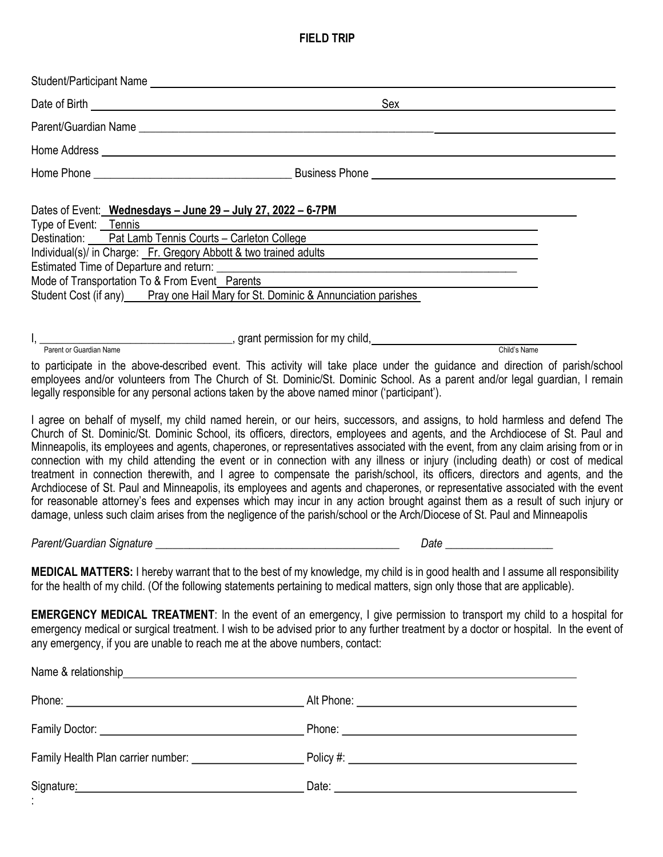## FIELD TRIP

| Student/Participant Name                                                                                                                                                                                                                                                                                                                                                                                                                                                                                                      |                                                                                                                                                                                                                                                                                                                                                                                                                                                                                                                                                                                                                                                                                                                                                                                                                                                                                                                                                                                                                                                                |
|-------------------------------------------------------------------------------------------------------------------------------------------------------------------------------------------------------------------------------------------------------------------------------------------------------------------------------------------------------------------------------------------------------------------------------------------------------------------------------------------------------------------------------|----------------------------------------------------------------------------------------------------------------------------------------------------------------------------------------------------------------------------------------------------------------------------------------------------------------------------------------------------------------------------------------------------------------------------------------------------------------------------------------------------------------------------------------------------------------------------------------------------------------------------------------------------------------------------------------------------------------------------------------------------------------------------------------------------------------------------------------------------------------------------------------------------------------------------------------------------------------------------------------------------------------------------------------------------------------|
|                                                                                                                                                                                                                                                                                                                                                                                                                                                                                                                               | Sex                                                                                                                                                                                                                                                                                                                                                                                                                                                                                                                                                                                                                                                                                                                                                                                                                                                                                                                                                                                                                                                            |
|                                                                                                                                                                                                                                                                                                                                                                                                                                                                                                                               |                                                                                                                                                                                                                                                                                                                                                                                                                                                                                                                                                                                                                                                                                                                                                                                                                                                                                                                                                                                                                                                                |
|                                                                                                                                                                                                                                                                                                                                                                                                                                                                                                                               |                                                                                                                                                                                                                                                                                                                                                                                                                                                                                                                                                                                                                                                                                                                                                                                                                                                                                                                                                                                                                                                                |
|                                                                                                                                                                                                                                                                                                                                                                                                                                                                                                                               |                                                                                                                                                                                                                                                                                                                                                                                                                                                                                                                                                                                                                                                                                                                                                                                                                                                                                                                                                                                                                                                                |
| Dates of Event: Wednesdays - June 29 - July 27, 2022 - 6-7PM<br>Type of Event: Tennis<br>Destination: Pat Lamb Tennis Courts - Carleton College <b>Carleton College Carleton</b> College <b>Carleton College Carleton College Carleton College Carleton College Carleton College Carleton College Carleton Col</b><br>Individual(s)/ in Charge: Fr. Gregory Abbott & two trained adults<br>Mode of Transportation To & From Event_Parents<br>Student Cost (if any) Pray one Hail Mary for St. Dominic & Annunciation parishes |                                                                                                                                                                                                                                                                                                                                                                                                                                                                                                                                                                                                                                                                                                                                                                                                                                                                                                                                                                                                                                                                |
| $I,$ $\frac{1}{P^{\text{arent or Guardian Name}}}$ , grant permission for my child, $\frac{1}{P^{\text{arent or Guardian Name}}}$                                                                                                                                                                                                                                                                                                                                                                                             | Child's Name                                                                                                                                                                                                                                                                                                                                                                                                                                                                                                                                                                                                                                                                                                                                                                                                                                                                                                                                                                                                                                                   |
| legally responsible for any personal actions taken by the above named minor ('participant').                                                                                                                                                                                                                                                                                                                                                                                                                                  | to participate in the above-described event. This activity will take place under the guidance and direction of parish/school<br>employees and/or volunteers from The Church of St. Dominic/St. Dominic School. As a parent and/or legal guardian, I remain                                                                                                                                                                                                                                                                                                                                                                                                                                                                                                                                                                                                                                                                                                                                                                                                     |
|                                                                                                                                                                                                                                                                                                                                                                                                                                                                                                                               | I agree on behalf of myself, my child named herein, or our heirs, successors, and assigns, to hold harmless and defend The<br>Church of St. Dominic/St. Dominic School, its officers, directors, employees and agents, and the Archdiocese of St. Paul and<br>Minneapolis, its employees and agents, chaperones, or representatives associated with the event, from any claim arising from or in<br>connection with my child attending the event or in connection with any illness or injury (including death) or cost of medical<br>treatment in connection therewith, and I agree to compensate the parish/school, its officers, directors and agents, and the<br>Archdiocese of St. Paul and Minneapolis, its employees and agents and chaperones, or representative associated with the event<br>for reasonable attorney's fees and expenses which may incur in any action brought against them as a result of such injury or<br>damage, unless such claim arises from the negligence of the parish/school or the Arch/Diocese of St. Paul and Minneapolis |
|                                                                                                                                                                                                                                                                                                                                                                                                                                                                                                                               |                                                                                                                                                                                                                                                                                                                                                                                                                                                                                                                                                                                                                                                                                                                                                                                                                                                                                                                                                                                                                                                                |
| for the health of my child. (Of the following statements pertaining to medical matters, sign only those that are applicable).                                                                                                                                                                                                                                                                                                                                                                                                 | <b>MEDICAL MATTERS:</b> I hereby warrant that to the best of my knowledge, my child is in good health and I assume all responsibility                                                                                                                                                                                                                                                                                                                                                                                                                                                                                                                                                                                                                                                                                                                                                                                                                                                                                                                          |
| any emergency, if you are unable to reach me at the above numbers, contact:                                                                                                                                                                                                                                                                                                                                                                                                                                                   | <b>EMERGENCY MEDICAL TREATMENT:</b> In the event of an emergency, I give permission to transport my child to a hospital for<br>emergency medical or surgical treatment. I wish to be advised prior to any further treatment by a doctor or hospital. In the event of                                                                                                                                                                                                                                                                                                                                                                                                                                                                                                                                                                                                                                                                                                                                                                                           |
|                                                                                                                                                                                                                                                                                                                                                                                                                                                                                                                               |                                                                                                                                                                                                                                                                                                                                                                                                                                                                                                                                                                                                                                                                                                                                                                                                                                                                                                                                                                                                                                                                |
|                                                                                                                                                                                                                                                                                                                                                                                                                                                                                                                               |                                                                                                                                                                                                                                                                                                                                                                                                                                                                                                                                                                                                                                                                                                                                                                                                                                                                                                                                                                                                                                                                |
|                                                                                                                                                                                                                                                                                                                                                                                                                                                                                                                               |                                                                                                                                                                                                                                                                                                                                                                                                                                                                                                                                                                                                                                                                                                                                                                                                                                                                                                                                                                                                                                                                |
|                                                                                                                                                                                                                                                                                                                                                                                                                                                                                                                               |                                                                                                                                                                                                                                                                                                                                                                                                                                                                                                                                                                                                                                                                                                                                                                                                                                                                                                                                                                                                                                                                |
|                                                                                                                                                                                                                                                                                                                                                                                                                                                                                                                               |                                                                                                                                                                                                                                                                                                                                                                                                                                                                                                                                                                                                                                                                                                                                                                                                                                                                                                                                                                                                                                                                |